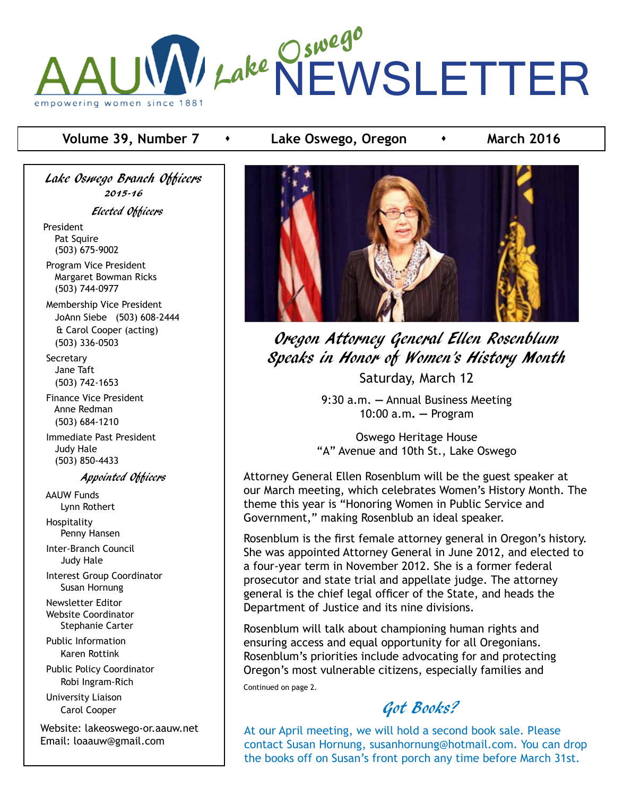

## **Volume 39, Number 7 contrary Lake Oswego, Oregon contrary March 2016**

Lake Oswego Branch Officers 2015-16

Elected Officers

President Pat Squire (503) 675-9002

 Program Vice President Margaret Bowman Ricks (503) 744-0977

 Membership Vice President JoAnn Siebe (503) 608-2444 & Carol Cooper (acting) (503) 336-0503

**Secretary**  Jane Taft (503) 742-1653

 Finance Vice President Anne Redman (503) 684-1210

 Immediate Past President Judy Hale (503) 850-4433

Appointed Officers

 AAUW Funds Lynn Rothert

 Hospitality Penny Hansen

 Inter-Branch Council Judy Hale

 Interest Group Coordinator Susan Hornung

 Newsletter Editor Website Coordinator Stephanie Carter

 Public Information Karen Rottink

 Public Policy Coordinator Robi Ingram-Rich

 University Liaison Carol Cooper

Website: lakeoswego-or.aauw.net Email: loaauw@gmail.com



Oregon Attorney General Ellen Rosenblum Speaks in Honor of Women's History Month Saturday, March 12

> 9:30 a.m. **—** Annual Business Meeting 10:00 a.m**. —** Program

Oswego Heritage House "A" Avenue and 10th St., Lake Oswego

Attorney General Ellen Rosenblum will be the guest speaker at our March meeting, which celebrates Women's History Month. The theme this year is "Honoring Women in Public Service and Government," making Rosenblub an ideal speaker.

Rosenblum is the first female attorney general in Oregon's history. She was appointed Attorney General in June 2012, and elected to a four-year term in November 2012. She is a former federal prosecutor and state trial and appellate judge. The attorney general is the chief legal officer of the State, and heads the Department of Justice and its nine divisions.

Rosenblum will talk about championing human rights and ensuring access and equal opportunity for all Oregonians. Rosenblum's priorities include advocating for and protecting Oregon's most vulnerable citizens, especially families and Continued on page 2.

Got Books?

At our April meeting, we will hold a second book sale. Please contact Susan Hornung, susanhornung@hotmail.com. You can drop the books off on Susan's front porch any time before March 31st.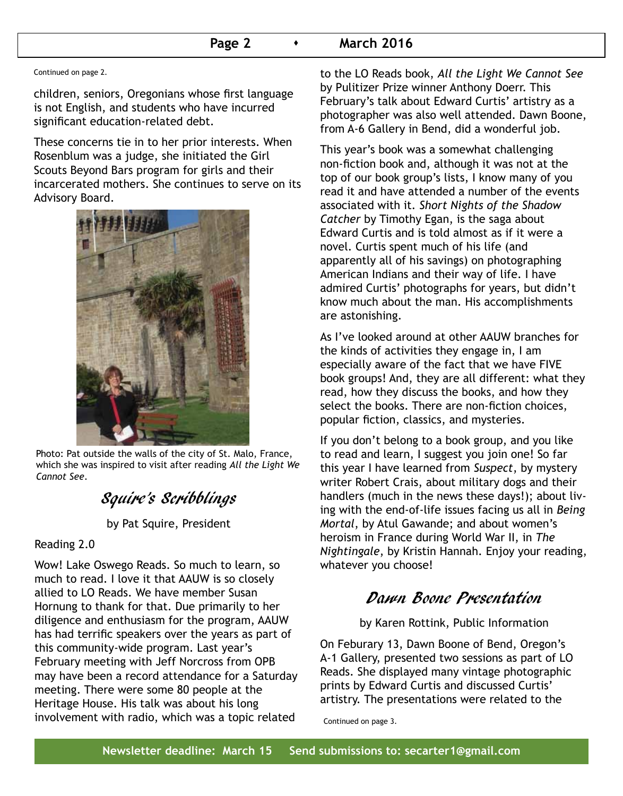### **Page 2 • March 2016**

Continued on page 2.

children, seniors, Oregonians whose first language is not English, and students who have incurred significant education-related debt.

These concerns tie in to her prior interests. When Rosenblum was a judge, she initiated the Girl Scouts Beyond Bars program for girls and their incarcerated mothers. She continues to serve on its Advisory Board.



Photo: Pat outside the walls of the city of St. Malo, France, which she was inspired to visit after reading *All the Light We Cannot See*.

# Squire's Scribblings

by Pat Squire, President

#### Reading 2.0

Wow! Lake Oswego Reads. So much to learn, so much to read. I love it that AAUW is so closely allied to LO Reads. We have member Susan Hornung to thank for that. Due primarily to her diligence and enthusiasm for the program, AAUW has had terrific speakers over the years as part of this community-wide program. Last year's February meeting with Jeff Norcross from OPB may have been a record attendance for a Saturday meeting. There were some 80 people at the Heritage House. His talk was about his long involvement with radio, which was a topic related

to the LO Reads book, *All the Light We Cannot See* by Pulitizer Prize winner Anthony Doerr. This February's talk about Edward Curtis' artistry as a photographer was also well attended. Dawn Boone, from A-6 Gallery in Bend, did a wonderful job.

This year's book was a somewhat challenging non-fiction book and, although it was not at the top of our book group's lists, I know many of you read it and have attended a number of the events associated with it. *Short Nights of the Shadow Catcher* by Timothy Egan, is the saga about Edward Curtis and is told almost as if it were a novel. Curtis spent much of his life (and apparently all of his savings) on photographing American Indians and their way of life. I have admired Curtis' photographs for years, but didn't know much about the man. His accomplishments are astonishing.

As I've looked around at other AAUW branches for the kinds of activities they engage in, I am especially aware of the fact that we have FIVE book groups! And, they are all different: what they read, how they discuss the books, and how they select the books. There are non-fiction choices, popular fiction, classics, and mysteries.

If you don't belong to a book group, and you like to read and learn, I suggest you join one! So far this year I have learned from *Suspect*, by mystery writer Robert Crais, about military dogs and their handlers (much in the news these days!); about living with the end-of-life issues facing us all in *Being Mortal*, by Atul Gawande; and about women's heroism in France during World War II, in *The Nightingale*, by Kristin Hannah. Enjoy your reading, whatever you choose!

## Dawn Boone Presentation

by Karen Rottink, Public Information

On Feburary 13, Dawn Boone of Bend, Oregon's A-1 Gallery, presented two sessions as part of LO Reads. She displayed many vintage photographic prints by Edward Curtis and discussed Curtis' artistry. The presentations were related to the

Continued on page 3.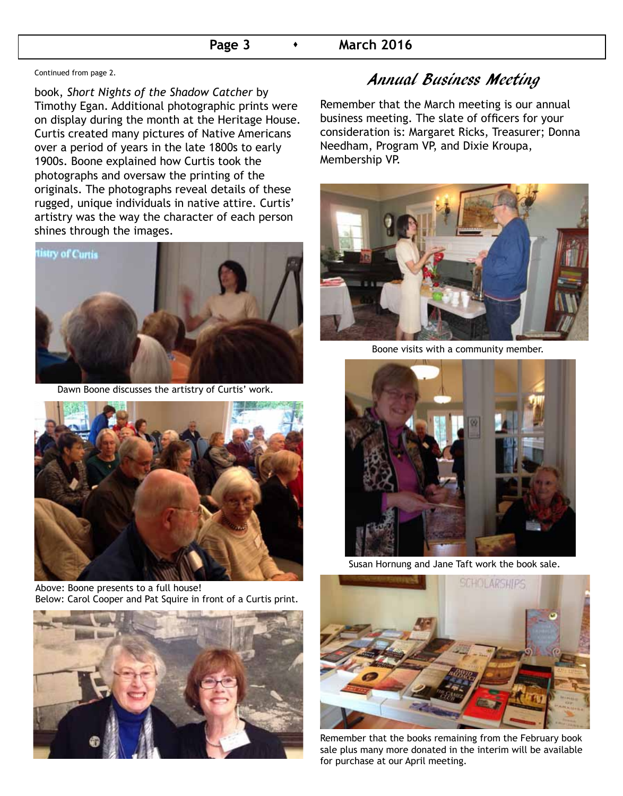#### **Page 3 • March 2016**

Continued from page 2.

book, *Short Nights of the Shadow Catcher* by Timothy Egan. Additional photographic prints were on display during the month at the Heritage House. Curtis created many pictures of Native Americans over a period of years in the late 1800s to early 1900s. Boone explained how Curtis took the photographs and oversaw the printing of the originals. The photographs reveal details of these rugged, unique individuals in native attire. Curtis' artistry was the way the character of each person shines through the images.



Dawn Boone discusses the artistry of Curtis' work.



Above: Boone presents to a full house! Below: Carol Cooper and Pat Squire in front of a Curtis print.



## Annual Business Meeting

Remember that the March meeting is our annual business meeting. The slate of officers for your consideration is: Margaret Ricks, Treasurer; Donna Needham, Program VP, and Dixie Kroupa, Membership VP.



Boone visits with a community member.



Susan Hornung and Jane Taft work the book sale.



Remember that the books remaining from the February book sale plus many more donated in the interim will be available for purchase at our April meeting.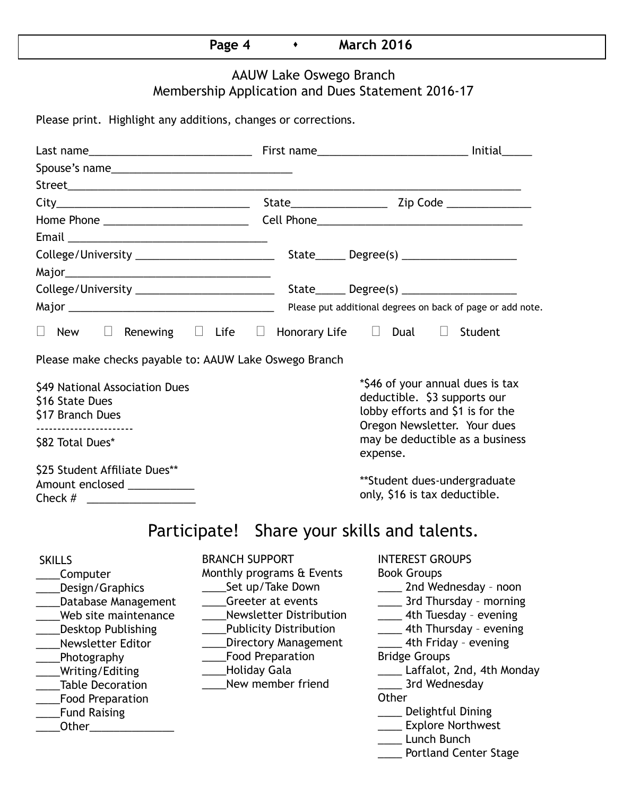## **Page 4 • March 2016**

## AAUW Lake Oswego Branch Membership Application and Dues Statement 2016-17

Please print. Highlight any additions, changes or corrections.

| $\Box$<br>New                                                                                                                                                                                                                                                                                 |                                                                                                                                                                                                                                                                      | Renewing $\Box$ Life $\Box$ Honorary Life $\Box$ Dual $\Box$ Student                                                                                                                                                                                                                                                                                                       |  |  |  |
|-----------------------------------------------------------------------------------------------------------------------------------------------------------------------------------------------------------------------------------------------------------------------------------------------|----------------------------------------------------------------------------------------------------------------------------------------------------------------------------------------------------------------------------------------------------------------------|----------------------------------------------------------------------------------------------------------------------------------------------------------------------------------------------------------------------------------------------------------------------------------------------------------------------------------------------------------------------------|--|--|--|
| Please make checks payable to: AAUW Lake Oswego Branch                                                                                                                                                                                                                                        |                                                                                                                                                                                                                                                                      |                                                                                                                                                                                                                                                                                                                                                                            |  |  |  |
| \$49 National Association Dues<br>\$16 State Dues<br>\$17 Branch Dues                                                                                                                                                                                                                         |                                                                                                                                                                                                                                                                      | *\$46 of your annual dues is tax<br>deductible. \$3 supports our<br>lobby efforts and \$1 is for the<br>Oregon Newsletter. Your dues                                                                                                                                                                                                                                       |  |  |  |
| \$82 Total Dues*                                                                                                                                                                                                                                                                              |                                                                                                                                                                                                                                                                      | may be deductible as a business<br>expense.                                                                                                                                                                                                                                                                                                                                |  |  |  |
| \$25 Student Affiliate Dues**<br>Amount enclosed ___________                                                                                                                                                                                                                                  |                                                                                                                                                                                                                                                                      | **Student dues-undergraduate<br>only, \$16 is tax deductible.                                                                                                                                                                                                                                                                                                              |  |  |  |
|                                                                                                                                                                                                                                                                                               | Participate! Share your skills and talents.                                                                                                                                                                                                                          |                                                                                                                                                                                                                                                                                                                                                                            |  |  |  |
| <b>SKILLS</b><br>Computer<br>Design/Graphics<br><b>Database Management</b><br>Web site maintenance<br><b>Desktop Publishing</b><br>Newsletter Editor<br>Photography<br>Writing/Editing<br><b>Table Decoration</b><br><b>Food Preparation</b><br><b>Fund Raising</b><br>Other_________________ | <b>BRANCH SUPPORT</b><br>Monthly programs & Events<br>Set up/Take Down<br>Greeter at events<br><b>Newsletter Distribution</b><br><b>Publicity Distribution</b><br><b>Directory Management</b><br><b>Food Preparation</b><br><b>Holiday Gala</b><br>New member friend | <b>INTEREST GROUPS</b><br><b>Book Groups</b><br>____ 2nd Wednesday - noon<br>_____ 3rd Thursday - morning<br>4th Tuesday - evening<br>___ 4th Thursday - evening<br>4th Friday - evening<br><b>Bridge Groups</b><br>Laffalot, 2nd, 4th Monday<br>3rd Wednesday<br>Other<br>____ Delightful Dining<br>____ Explore Northwest<br>Lunch Bunch<br><b>Portland Center Stage</b> |  |  |  |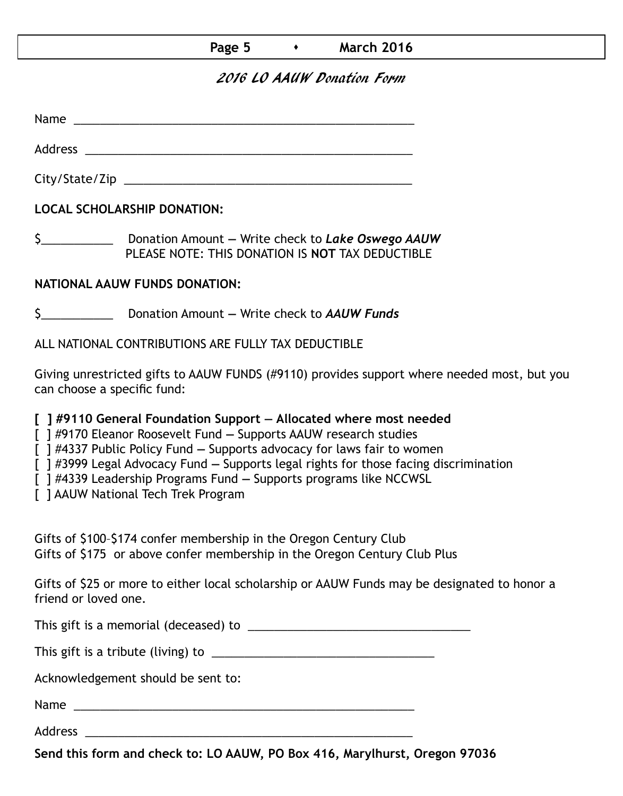## **Page 5 • March 2016**

## 2016 LO AAUW Donation Form

Name was also as  $\sim$  100  $\mu$  and  $\mu$  and  $\mu$  and  $\mu$  and  $\mu$  and  $\mu$  and  $\mu$ 

Address \_\_\_\_\_\_\_\_\_\_\_\_\_\_\_\_\_\_\_\_\_\_\_\_\_\_\_\_\_\_\_\_\_\_\_\_\_\_\_\_\_\_\_\_\_\_\_\_\_\_ City/State/Zip 2000 and 2000 and 2000 and 2000 and 2000 and 2000 and 2000 and 2000 and 2000 and 200

**LOCAL SCHOLARSHIP DONATION:**

\$\_\_\_\_\_\_\_\_\_\_\_ Donation Amount **—** Write check to *Lake Oswego AAUW* PLEASE NOTE: THIS DONATION IS **NOT** TAX DEDUCTIBLE

### **NATIONAL AAUW FUNDS DONATION:**

\$\_\_\_\_\_\_\_\_\_\_\_ Donation Amount **—** Write check to *AAUW Funds*

ALL NATIONAL CONTRIBUTIONS ARE FULLY TAX DEDUCTIBLE

Giving unrestricted gifts to AAUW FUNDS (#9110) provides support where needed most, but you can choose a specific fund:

**[ ] #9110 General Foundation Support — Allocated where most needed** 

[ ] #9170 Eleanor Roosevelt Fund **—** Supports AAUW research studies

[ ] #4337 Public Policy Fund **—** Supports advocacy for laws fair to women

[ ] #3999 Legal Advocacy Fund **—** Supports legal rights for those facing discrimination

[ ] #4339 Leadership Programs Fund **—** Supports programs like NCCWSL

[ ] AAUW National Tech Trek Program

Gifts of \$100–\$174 confer membership in the Oregon Century Club Gifts of \$175 or above confer membership in the Oregon Century Club Plus

Gifts of \$25 or more to either local scholarship or AAUW Funds may be designated to honor a friend or loved one.

This gift is a memorial (deceased) to \_\_\_\_\_\_\_\_\_\_\_\_\_\_\_\_\_\_\_\_\_\_\_\_\_\_\_\_\_\_\_\_\_\_

This gift is a tribute (living) to \_\_\_\_\_\_\_\_\_\_\_\_\_\_\_\_\_\_\_\_\_\_\_\_\_\_\_\_\_\_\_\_\_\_

Acknowledgement should be sent to:

Name \_\_\_\_\_\_\_\_\_\_\_\_\_\_\_\_\_\_\_\_\_\_\_\_\_\_\_\_\_\_\_\_\_\_\_\_\_\_\_\_\_\_\_\_\_\_\_\_\_\_\_\_

Address \_\_\_\_\_\_\_\_\_\_\_\_\_\_\_\_\_\_\_\_\_\_\_\_\_\_\_\_\_\_\_\_\_\_\_\_\_\_\_\_\_\_\_\_\_\_\_\_\_\_

**Send this form and check to: LO AAUW, PO Box 416, Marylhurst, Oregon 97036**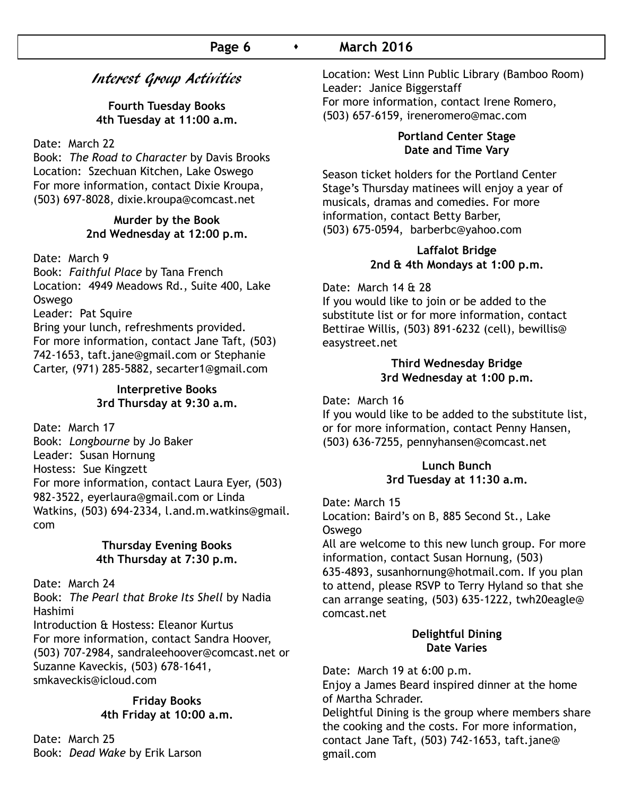## Interest Group Activities

**Fourth Tuesday Books 4th Tuesday at 11:00 a.m.**

#### Date: March 22

Book: *The Road to Character* by Davis Brooks Location: Szechuan Kitchen, Lake Oswego For more information, contact Dixie Kroupa, (503) 697-8028, dixie.kroupa@comcast.net

### **Murder by the Book 2nd Wednesday at 12:00 p.m.**

#### Date: March 9

Book: *Faithful Place* by Tana French Location: 4949 Meadows Rd., Suite 400, Lake Oswego

Leader: Pat Squire

Bring your lunch, refreshments provided. For more information, contact Jane Taft, (503) 742-1653, taft.jane@gmail.com or Stephanie Carter, (971) 285-5882, secarter1@gmail.com

#### **Interpretive Books 3rd Thursday at 9:30 a.m.**

Date: March 17 Book: *Longbourne* by Jo Baker Leader: Susan Hornung Hostess: Sue Kingzett For more information, contact Laura Eyer, (503) 982-3522, eyerlaura@gmail.com or Linda Watkins, (503) 694-2334, l.and.m.watkins@gmail. com

#### **Thursday Evening Books 4th Thursday at 7:30 p.m.**

Date: March 24

Book: *The Pearl that Broke Its Shell* by Nadia Hashimi

Introduction & Hostess: Eleanor Kurtus For more information, contact Sandra Hoover, (503) 707-2984, sandraleehoover@comcast.net or Suzanne Kaveckis, (503) 678-1641, smkaveckis@icloud.com

#### **Friday Books 4th Friday at 10:00 a.m.**

Date: March 25 Book: *Dead Wake* by Erik Larson Location: West Linn Public Library (Bamboo Room) Leader: Janice Biggerstaff For more information, contact Irene Romero, (503) 657-6159, ireneromero@mac.com

#### **Portland Center Stage Date and Time Vary**

Season ticket holders for the Portland Center Stage's Thursday matinees will enjoy a year of musicals, dramas and comedies. For more information, contact Betty Barber, (503) 675-0594, barberbc@yahoo.com

#### **Laffalot Bridge 2nd & 4th Mondays at 1:00 p.m.**

Date: March 14 & 28

If you would like to join or be added to the substitute list or for more information, contact Bettirae Willis, (503) 891-6232 (cell), bewillis@ easystreet.net

#### **Third Wednesday Bridge 3rd Wednesday at 1:00 p.m.**

Date: March 16

If you would like to be added to the substitute list, or for more information, contact Penny Hansen, (503) 636-7255, pennyhansen@comcast.net

#### **Lunch Bunch 3rd Tuesday at 11:30 a.m.**

Date: March 15

Location: Baird's on B, 885 Second St., Lake Oswego

All are welcome to this new lunch group. For more information, contact Susan Hornung, (503)

635-4893, susanhornung@hotmail.com. If you plan to attend, please RSVP to Terry Hyland so that she can arrange seating, (503) 635-1222, twh20eagle@ comcast.net

#### **Delightful Dining Date Varies**

Date: March 19 at 6:00 p.m.

Enjoy a James Beard inspired dinner at the home of Martha Schrader.

Delightful Dining is the group where members share the cooking and the costs. For more information, contact Jane Taft, (503) 742-1653, taft.jane@ gmail.com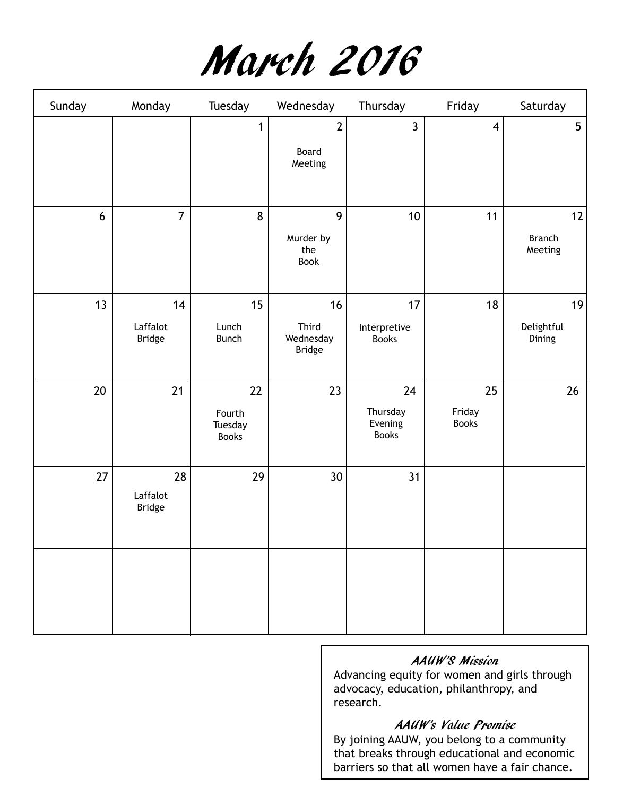

| Sunday | Monday                          | Tuesday                                 | Wednesday                          | Thursday                                  | Friday                       | Saturday                       |
|--------|---------------------------------|-----------------------------------------|------------------------------------|-------------------------------------------|------------------------------|--------------------------------|
|        |                                 | $\mathbf{1}$                            | $\overline{2}$<br>Board<br>Meeting | $\mathbf{3}$                              | $\overline{\mathbf{4}}$      | $5\phantom{.}$                 |
| 6      | $\overline{7}$                  | 8                                       | 9<br>Murder by<br>the<br>Book      | 10                                        | 11                           | 12<br><b>Branch</b><br>Meeting |
| 13     | 14<br>Laffalot<br>Bridge        | 15<br>Lunch<br><b>Bunch</b>             | 16<br>Third<br>Wednesday<br>Bridge | 17<br>Interpretive<br><b>Books</b>        | 18                           | 19<br>Delightful<br>Dining     |
| $20\,$ | 21                              | 22<br>Fourth<br>Tuesday<br><b>Books</b> | 23                                 | 24<br>Thursday<br>Evening<br><b>Books</b> | 25<br>Friday<br><b>Books</b> | 26                             |
| 27     | 28<br>Laffalot<br><b>Bridge</b> | 29                                      | 30                                 | 31                                        |                              |                                |
|        |                                 |                                         |                                    |                                           |                              |                                |

## AAUW'S Mission

Advancing equity for women and girls through advocacy, education, philanthropy, and research.

### AAUW's Value Promise

By joining AAUW, you belong to a community that breaks through educational and economic barriers so that all women have a fair chance.